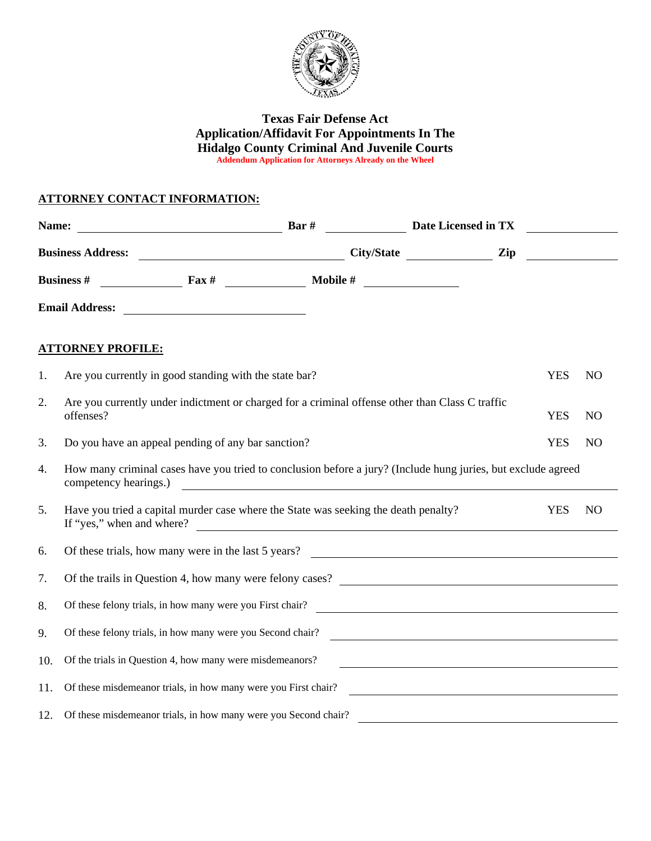

## **Texas Fair Defense Act Application/Affidavit For Appointments In The Hidalgo County Criminal And Juvenile Courts Addendum Application for Attorneys Already on the Wheel**

## **ATTORNEY CONTACT INFORMATION:**

| Name:<br>Business Address: City/State City/State Zip<br>Business # $\frac{1}{2}$ Fax # $\frac{1}{2}$ Mobile # $\frac{1}{2}$ |                                                                                                                                                                                                      | Bar # | Date Licensed in TX                                                                                                  |  |            |                |
|-----------------------------------------------------------------------------------------------------------------------------|------------------------------------------------------------------------------------------------------------------------------------------------------------------------------------------------------|-------|----------------------------------------------------------------------------------------------------------------------|--|------------|----------------|
|                                                                                                                             |                                                                                                                                                                                                      |       |                                                                                                                      |  |            |                |
|                                                                                                                             |                                                                                                                                                                                                      |       |                                                                                                                      |  |            |                |
|                                                                                                                             |                                                                                                                                                                                                      |       |                                                                                                                      |  |            |                |
|                                                                                                                             | <b>ATTORNEY PROFILE:</b>                                                                                                                                                                             |       |                                                                                                                      |  |            |                |
| 1.                                                                                                                          | Are you currently in good standing with the state bar?                                                                                                                                               |       |                                                                                                                      |  | <b>YES</b> | <b>NO</b>      |
| 2.                                                                                                                          | Are you currently under indictment or charged for a criminal offense other than Class C traffic<br>offenses?                                                                                         |       |                                                                                                                      |  | <b>YES</b> | N <sub>O</sub> |
| 3.                                                                                                                          | Do you have an appeal pending of any bar sanction?                                                                                                                                                   |       |                                                                                                                      |  | <b>YES</b> | N <sub>O</sub> |
| 4.                                                                                                                          | How many criminal cases have you tried to conclusion before a jury? (Include hung juries, but exclude agreed<br>competency hearings.)<br><u> 1989 - Andrea Branden, amerikansk politik (d. 1989)</u> |       |                                                                                                                      |  |            |                |
| 5.                                                                                                                          | Have you tried a capital murder case where the State was seeking the death penalty?<br>If "yes," when and where?                                                                                     |       |                                                                                                                      |  | <b>YES</b> | N <sub>O</sub> |
| 6.                                                                                                                          | Of these trials, how many were in the last 5 years?                                                                                                                                                  |       |                                                                                                                      |  |            |                |
| 7.                                                                                                                          | Of the trails in Question 4, how many were felony cases?                                                                                                                                             |       |                                                                                                                      |  |            |                |
| 8.                                                                                                                          | Of these felony trials, in how many were you First chair?                                                                                                                                            |       |                                                                                                                      |  |            |                |
| 9.                                                                                                                          | Of these felony trials, in how many were you Second chair?                                                                                                                                           |       | <u> Alexandria de la contrada de la contrada de la contrada de la contrada de la contrada de la contrada de la c</u> |  |            |                |
| 10.                                                                                                                         | Of the trials in Question 4, how many were misdemeanors?                                                                                                                                             |       |                                                                                                                      |  |            |                |
| 11.                                                                                                                         | Of these misdemeanor trials, in how many were you First chair?                                                                                                                                       |       |                                                                                                                      |  |            |                |
| 12.                                                                                                                         | Of these misdemeanor trials, in how many were you Second chair?                                                                                                                                      |       |                                                                                                                      |  |            |                |